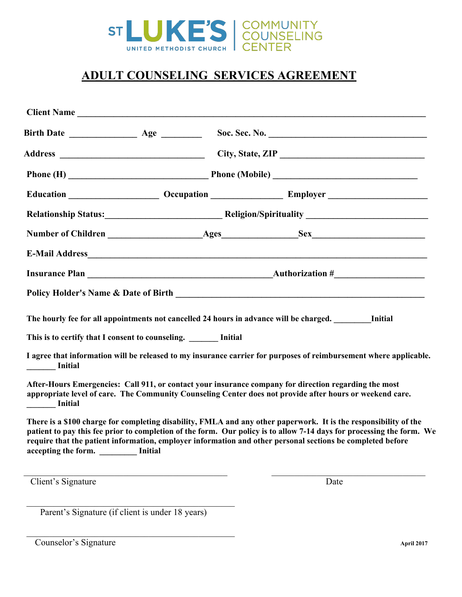

# **ADULT COUNSELING SERVICES AGREEMENT**

| <b>Client Name</b>                                              | <u> 1989 - Johann Barbara, martxa alemaniar argumento de la contrada de la contrada de la contrada de la contrad</u> |                                                                                                                                                                                                                                                                                                                                                         |  |
|-----------------------------------------------------------------|----------------------------------------------------------------------------------------------------------------------|---------------------------------------------------------------------------------------------------------------------------------------------------------------------------------------------------------------------------------------------------------------------------------------------------------------------------------------------------------|--|
|                                                                 |                                                                                                                      |                                                                                                                                                                                                                                                                                                                                                         |  |
|                                                                 | City, State, ZIP                                                                                                     |                                                                                                                                                                                                                                                                                                                                                         |  |
|                                                                 |                                                                                                                      | Phone (H) Phone (Mobile) Phone (Mobile)                                                                                                                                                                                                                                                                                                                 |  |
|                                                                 |                                                                                                                      |                                                                                                                                                                                                                                                                                                                                                         |  |
|                                                                 |                                                                                                                      |                                                                                                                                                                                                                                                                                                                                                         |  |
|                                                                 |                                                                                                                      |                                                                                                                                                                                                                                                                                                                                                         |  |
|                                                                 |                                                                                                                      |                                                                                                                                                                                                                                                                                                                                                         |  |
|                                                                 |                                                                                                                      |                                                                                                                                                                                                                                                                                                                                                         |  |
|                                                                 |                                                                                                                      |                                                                                                                                                                                                                                                                                                                                                         |  |
|                                                                 |                                                                                                                      | The hourly fee for all appointments not cancelled 24 hours in advance will be charged. ________ Initial                                                                                                                                                                                                                                                 |  |
| This is to certify that I consent to counseling. ______ Initial |                                                                                                                      |                                                                                                                                                                                                                                                                                                                                                         |  |
| Initial                                                         |                                                                                                                      | I agree that information will be released to my insurance carrier for purposes of reimbursement where applicable.                                                                                                                                                                                                                                       |  |
| <b>Example 1</b> Initial                                        |                                                                                                                      | After-Hours Emergencies: Call 911, or contact your insurance company for direction regarding the most<br>appropriate level of care. The Community Counseling Center does not provide after hours or weekend care.                                                                                                                                       |  |
| accepting the form. ________ Initial                            |                                                                                                                      | There is a \$100 charge for completing disability, FMLA and any other paperwork. It is the responsibility of the<br>patient to pay this fee prior to completion of the form. Our policy is to allow 7-14 days for processing the form. We<br>require that the patient information, employer information and other personal sections be completed before |  |
| Client's Signature                                              |                                                                                                                      | Date                                                                                                                                                                                                                                                                                                                                                    |  |

Parent's Signature (if client is under 18 years)

**Counselor's Signature <b>April 2017 April 2017**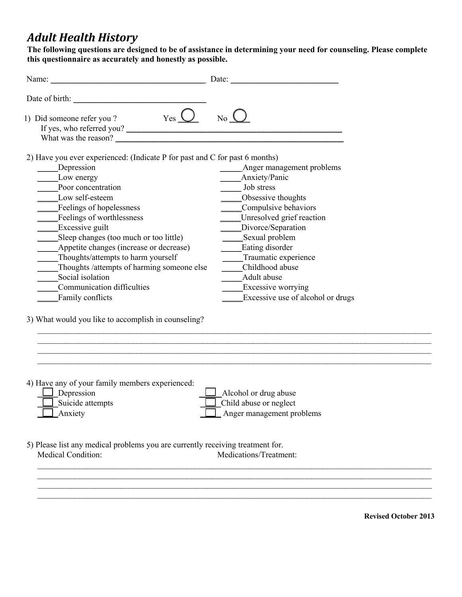# *Adult Health History*

**The following questions are designed to be of assistance in determining your need for counseling. Please complete this questionnaire as accurately and honestly as possible.** 

| Name: Name and the service of the service of the service of the service of the service of the service of the service of the service of the service of the service of the service of the service of the service of the service                                                                                                                                                                                                                                                                                                      | Date:                                                                                                                                                                                                                                                                                                                      |
|------------------------------------------------------------------------------------------------------------------------------------------------------------------------------------------------------------------------------------------------------------------------------------------------------------------------------------------------------------------------------------------------------------------------------------------------------------------------------------------------------------------------------------|----------------------------------------------------------------------------------------------------------------------------------------------------------------------------------------------------------------------------------------------------------------------------------------------------------------------------|
|                                                                                                                                                                                                                                                                                                                                                                                                                                                                                                                                    |                                                                                                                                                                                                                                                                                                                            |
| $Yes \tQ$<br>1) Did someone refer you?<br>If yes, who referred you?<br>What was the reason?                                                                                                                                                                                                                                                                                                                                                                                                                                        | $No_$                                                                                                                                                                                                                                                                                                                      |
| 2) Have you ever experienced: (Indicate P for past and C for past 6 months)<br>Depression<br>Low energy<br>Poor concentration<br>Low self-esteem<br>Feelings of hopelessness<br>Feelings of worthlessness<br>Excessive guilt<br>Sleep changes (too much or too little)<br>Appetite changes (increase or decrease)<br>Thoughts/attempts to harm yourself<br>Thoughts /attempts of harming someone else<br>Social isolation<br>Communication difficulties<br>Family conflicts<br>3) What would you like to accomplish in counseling? | Anger management problems<br>Anxiety/Panic<br>Job stress<br>Obsessive thoughts<br>Compulsive behaviors<br>Unresolved grief reaction<br>Divorce/Separation<br>Sexual problem<br>Eating disorder<br>Traumatic experience<br>Childhood abuse<br>Adult abuse<br><b>Excessive worrying</b><br>Excessive use of alcohol or drugs |
| 4) Have any of your family members experienced:<br>Depression<br>Suicide attempts<br>Anxiety                                                                                                                                                                                                                                                                                                                                                                                                                                       | Alcohol or drug abuse<br>Child abuse or neglect<br>Anger management problems                                                                                                                                                                                                                                               |
| 5) Please list any medical problems you are currently receiving treatment for.<br><b>Medical Condition:</b>                                                                                                                                                                                                                                                                                                                                                                                                                        | Medications/Treatment:                                                                                                                                                                                                                                                                                                     |
|                                                                                                                                                                                                                                                                                                                                                                                                                                                                                                                                    |                                                                                                                                                                                                                                                                                                                            |

**Revised October 2013**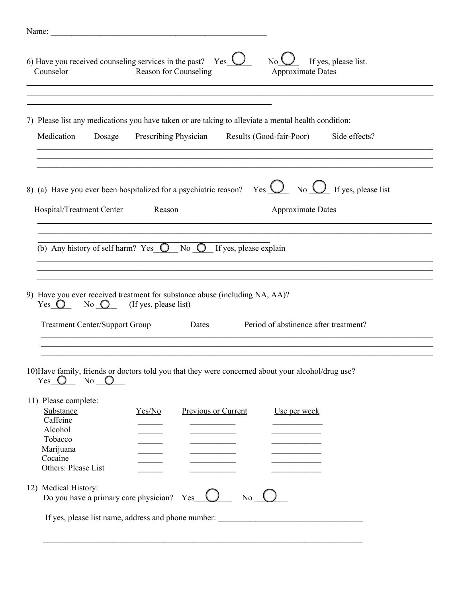| $Yes \cup$<br>6) Have you received counseling services in the past?<br>If yes, please list.<br>$\overline{N}$<br>Reason for Counseling<br>Counselor<br><b>Approximate Dates</b> |  |
|---------------------------------------------------------------------------------------------------------------------------------------------------------------------------------|--|
| 7) Please list any medications you have taken or are taking to alleviate a mental health condition:                                                                             |  |
|                                                                                                                                                                                 |  |
| Prescribing Physician Results (Good-fair-Poor)<br>Medication<br>Side effects?<br>Dosage                                                                                         |  |
| 8) (a) Have you ever been hospitalized for a psychiatric reason? Yes $\bigcup_{N \in \mathbb{N}} N_0 \bigcup_{N \in \mathbb{N}} N_N$ If yes, please list                        |  |
| Hospital/Treatment Center<br>Reason<br><b>Approximate Dates</b>                                                                                                                 |  |
| (b) Any history of self harm? Yes $\bigcirc$ No $\bigcirc$ If yes, please explain<br>9) Have you ever received treatment for substance abuse (including NA, AA)?                |  |
| No $\bigcirc$ (If yes, please list)<br>Yes $\bigcirc$<br>Period of abstinence after treatment?<br><b>Treatment Center/Support Group</b><br>Dates                                |  |
|                                                                                                                                                                                 |  |
| 10) Have family, friends or doctors told you that they were concerned about your alcohol/drug use?<br>Yes $\bigcirc$<br>No $\bigcirc$                                           |  |
| 11) Please complete:<br>Substance<br>Yes/No<br>Previous or Current<br>Use per week<br>Caffeine<br>Alcohol                                                                       |  |
| Tobacco<br>Marijuana<br>Cocaine<br>Others: Please List                                                                                                                          |  |
| 12) Medical History:<br>$No_$<br>Do you have a primary care physician? Yes_                                                                                                     |  |
|                                                                                                                                                                                 |  |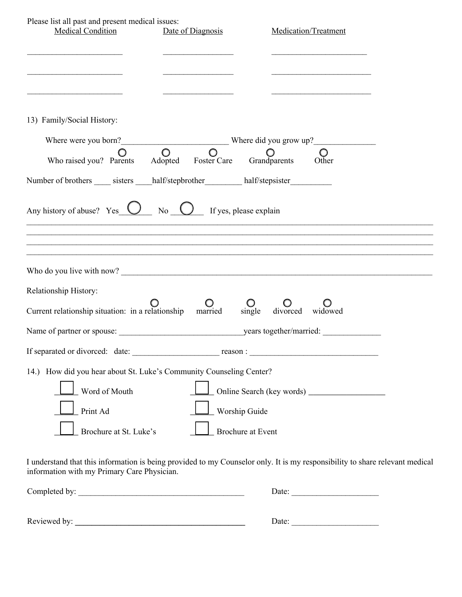| Please list all past and present medical issues:<br><b>Medical Condition</b>                                               | Date of Diagnosis                         | Medication/Treatment                                                              |
|----------------------------------------------------------------------------------------------------------------------------|-------------------------------------------|-----------------------------------------------------------------------------------|
| the control of the control of the control of the control of the control of                                                 |                                           | the control of the control of the control of the control of the control of        |
| 13) Family/Social History:                                                                                                 |                                           |                                                                                   |
| Where were you born?<br>$Q = Q$ Where did you grow up?<br>$Q = Q$ $Q$                                                      |                                           |                                                                                   |
| Who raised you? Parents Adopted Foster Care Grandparents                                                                   |                                           | Other                                                                             |
| Number of brothers ______ sisters _____ half/stepbrother ___________ half/stepsister _____________                         |                                           |                                                                                   |
|                                                                                                                            |                                           | ,我们也不能在这里的人,我们也不能在这里的人,我们也不能在这里的人,我们也不能在这里的人,我们也不能在这里的人,我们也不能在这里的人,我们也不能在这里的人,我们也 |
| Relationship History:                                                                                                      |                                           |                                                                                   |
| Current relationship situation: in a relationship married                                                                  |                                           | single divorced<br>widowed                                                        |
|                                                                                                                            |                                           |                                                                                   |
| If separated or divorced: date:                                                                                            | reason :                                  |                                                                                   |
| 14.) How did you hear about St. Luke's Community Counseling Center?<br>Word of Mouth<br>Print Ad<br>Brochure at St. Luke's | Worship Guide<br><b>Brochure at Event</b> |                                                                                   |

I understand that this information is being provided to my Counselor only. It is my responsibility to share relevant medical information with my Primary Care Physician.

| Completed by: | Date: |  |
|---------------|-------|--|
|               |       |  |
| Reviewed by:  | Date: |  |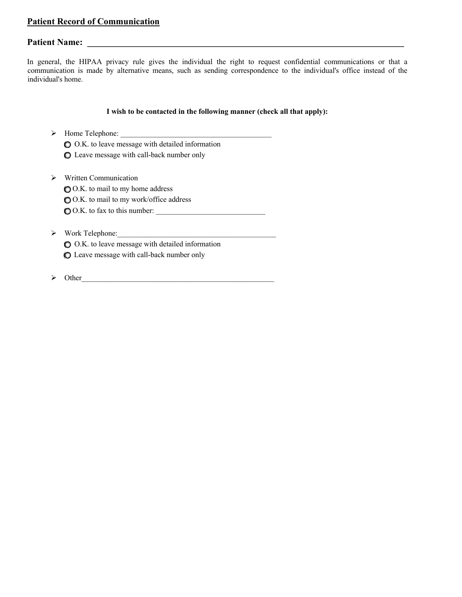## **Patient Record of Communication**

# **Patient Name: \_\_\_\_\_\_\_\_\_\_\_\_\_\_\_\_\_\_\_\_\_\_\_\_\_\_\_\_\_\_\_\_\_\_\_\_\_\_\_\_\_\_\_\_\_\_\_\_\_\_\_\_\_\_\_\_\_\_\_\_\_\_\_\_\_\_\_\_\_\_**

In general, the HIPAA privacy rule gives the individual the right to request confidential communications or that a communication is made by alternative means, such as sending correspondence to the individual's office instead of the individual's home.

### **I wish to be contacted in the following manner (check all that apply):**

 $\triangleright$  Home Telephone:

 $\bigcirc$  O.K. to leave message with detailed information ( ) Leave message with call-back number only

 $\triangleright$  Written Communication

( ) O.K. to mail to my home address

( ) O.K. to mail to my work/office address

 $\bigcirc$  O.K. to fax to this number:  $\qquad \qquad \qquad$ 

 $\triangleright$  Work Telephone:

( ) O.K. to leave message with detailed information ( ) Leave message with call-back number only

Ø Other\_\_\_\_\_\_\_\_\_\_\_\_\_\_\_\_\_\_\_\_\_\_\_\_\_\_\_\_\_\_\_\_\_\_\_\_\_\_\_\_\_\_\_\_\_\_\_\_\_\_\_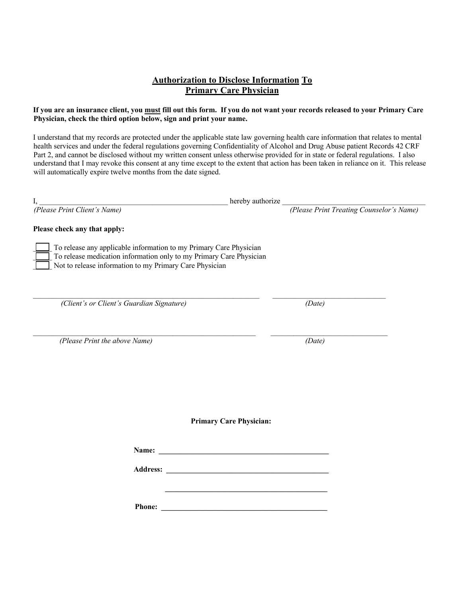### **Authorization to Disclose Information To Primary Care Physician**

### **If you are an insurance client, you must fill out this form. If you do not want your records released to your Primary Care Physician, check the third option below, sign and print your name.**

I understand that my records are protected under the applicable state law governing health care information that relates to mental health services and under the federal regulations governing Confidentiality of Alcohol and Drug Abuse patient Records 42 CRF Part 2, and cannot be disclosed without my written consent unless otherwise provided for in state or federal regulations. I also understand that I may revoke this consent at any time except to the extent that action has been taken in reliance on it. This release will automatically expire twelve months from the date signed.

| I,                                                                                                                                                                                                   | hereby authorize                                                                                                    |
|------------------------------------------------------------------------------------------------------------------------------------------------------------------------------------------------------|---------------------------------------------------------------------------------------------------------------------|
| (Please Print Client's Name)                                                                                                                                                                         | (Please Print Treating Counselor's Name)                                                                            |
| Please check any that apply:                                                                                                                                                                         |                                                                                                                     |
| To release any applicable information to my Primary Care Physician<br>To release medication information only to my Primary Care Physician<br>Not to release information to my Primary Care Physician |                                                                                                                     |
|                                                                                                                                                                                                      |                                                                                                                     |
| (Client's or Client's Guardian Signature)                                                                                                                                                            | (Date)                                                                                                              |
| (Please Print the above Name)                                                                                                                                                                        | (Date)                                                                                                              |
|                                                                                                                                                                                                      |                                                                                                                     |
|                                                                                                                                                                                                      |                                                                                                                     |
|                                                                                                                                                                                                      | <b>Primary Care Physician:</b>                                                                                      |
|                                                                                                                                                                                                      |                                                                                                                     |
|                                                                                                                                                                                                      |                                                                                                                     |
|                                                                                                                                                                                                      | <u> 1989 - Johann Barbara, martxa alemaniar amerikan basar da da a shekara 1989 - Andrew Santana a Santana a Sa</u> |
|                                                                                                                                                                                                      |                                                                                                                     |
|                                                                                                                                                                                                      |                                                                                                                     |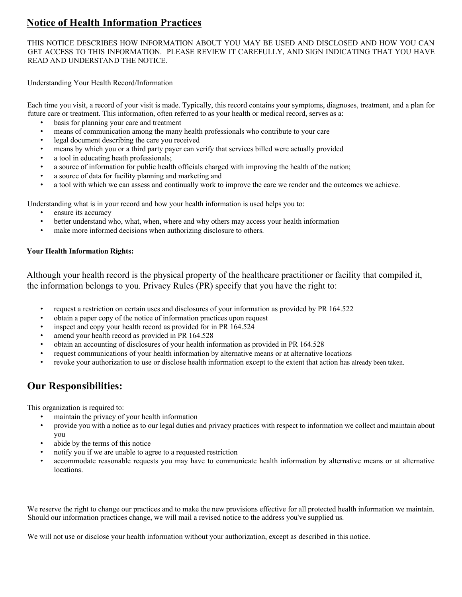# **Notice of Health Information Practices**

THIS NOTICE DESCRIBES HOW INFORMATION ABOUT YOU MAY BE USED AND DISCLOSED AND HOW YOU CAN GET ACCESS TO THIS INFORMATION. PLEASE REVIEW IT CAREFULLY, AND SIGN INDICATING THAT YOU HAVE READ AND UNDERSTAND THE NOTICE.

Understanding Your Health Record/Information

Each time you visit, a record of your visit is made. Typically, this record contains your symptoms, diagnoses, treatment, and a plan for future care or treatment. This information, often referred to as your health or medical record, serves as a:

- basis for planning your care and treatment
- means of communication among the many health professionals who contribute to your care
- legal document describing the care you received
- means by which you or a third party payer can verify that services billed were actually provided
- a tool in educating heath professionals;
- a source of information for public health officials charged with improving the health of the nation;
- a source of data for facility planning and marketing and
- a tool with which we can assess and continually work to improve the care we render and the outcomes we achieve.

Understanding what is in your record and how your health information is used helps you to:

- ensure its accuracy
- better understand who, what, when, where and why others may access your health information
- make more informed decisions when authorizing disclosure to others.

### **Your Health Information Rights:**

Although your health record is the physical property of the healthcare practitioner or facility that compiled it, the information belongs to you. Privacy Rules (PR) specify that you have the right to:

- request a restriction on certain uses and disclosures of your information as provided by PR 164.522
- obtain a paper copy of the notice of information practices upon request
- inspect and copy your health record as provided for in PR 164.524
- amend your health record as provided in PR 164.528
- obtain an accounting of disclosures of your health information as provided in PR 164.528
- request communications of your health information by alternative means or at alternative locations
- revoke your authorization to use or disclose health information except to the extent that action has already been taken.

# **Our Responsibilities:**

This organization is required to:

- maintain the privacy of your health information
- provide you with a notice as to our legal duties and privacy practices with respect to information we collect and maintain about you
- abide by the terms of this notice
- notify you if we are unable to agree to a requested restriction
- accommodate reasonable requests you may have to communicate health information by alternative means or at alternative locations.

We reserve the right to change our practices and to make the new provisions effective for all protected health information we maintain. Should our information practices change, we will mail a revised notice to the address you've supplied us.

We will not use or disclose your health information without your authorization, except as described in this notice.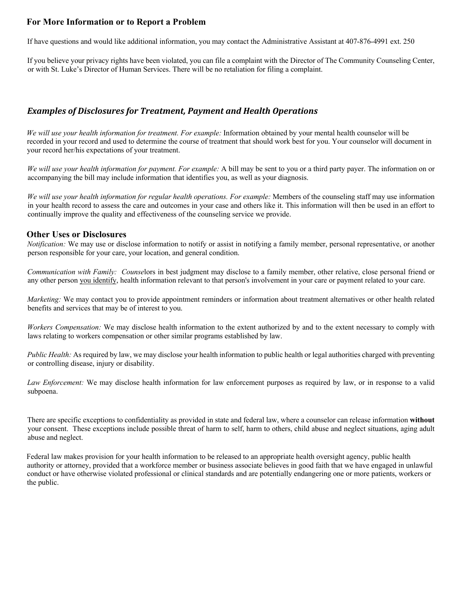## **For More Information or to Report a Problem**

If have questions and would like additional information, you may contact the Administrative Assistant at 407-876-4991 ext. 250

If you believe your privacy rights have been violated, you can file a complaint with the Director of The Community Counseling Center, or with St. Luke's Director of Human Services. There will be no retaliation for filing a complaint.

### **Examples of Disclosures for Treatment, Payment and Health Operations**

*We will use your health information for treatment. For example:* Information obtained by your mental health counselor will be recorded in your record and used to determine the course of treatment that should work best for you. Your counselor will document in your record her/his expectations of your treatment.

*We will use your health information for payment. For example:* A bill may be sent to you or a third party payer. The information on or accompanying the bill may include information that identifies you, as well as your diagnosis.

*We will use your health information for regular health operations. For example:* Members of the counseling staff may use information in your health record to assess the care and outcomes in your case and others like it. This information will then be used in an effort to continually improve the quality and effectiveness of the counseling service we provide.

### **Other Uses or Disclosures**

*Notification:* We may use or disclose information to notify or assist in notifying a family member, personal representative, or another person responsible for your care, your location, and general condition.

*Communication with Family: Counse*lors in best judgment may disclose to a family member, other relative, close personal friend or any other person you identify, health information relevant to that person's involvement in your care or payment related to your care.

*Marketing:* We may contact you to provide appointment reminders or information about treatment alternatives or other health related benefits and services that may be of interest to you.

*Workers Compensation:* We may disclose health information to the extent authorized by and to the extent necessary to comply with laws relating to workers compensation or other similar programs established by law.

*Public Health:* As required by law, we may disclose your health information to public health or legal authorities charged with preventing or controlling disease, injury or disability.

*Law Enforcement:* We may disclose health information for law enforcement purposes as required by law, or in response to a valid subpoena.

There are specific exceptions to confidentiality as provided in state and federal law, where a counselor can release information **without** your consent. These exceptions include possible threat of harm to self, harm to others, child abuse and neglect situations, aging adult abuse and neglect.

Federal law makes provision for your health information to be released to an appropriate health oversight agency, public health authority or attorney, provided that a workforce member or business associate believes in good faith that we have engaged in unlawful conduct or have otherwise violated professional or clinical standards and are potentially endangering one or more patients, workers or the public.